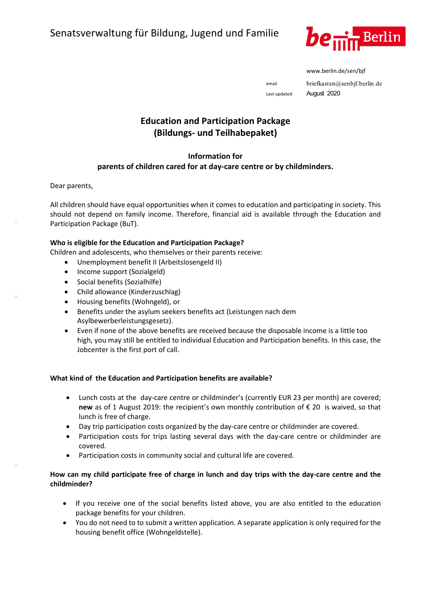

www.berlin.de/sen/bjf

email briefkasten@senbjf.berlin.de Last updated August 2020

# **Education and Participation Package (Bildungs- und Teilhabepaket)**

### **Information for**

## **parents of children cared for at day-care centre or by childminders.**

Dear parents,

–

–

–

All children should have equal opportunities when it comes to education and participating in society. This should not depend on family income. Therefore, financial aid is available through the Education and Participation Package (BuT).

#### **Who is eligible for the Education and Participation Package?**

Children and adolescents, who themselves or their parents receive:

- Unemployment benefit II (Arbeitslosengeld II)
- Income support (Sozialgeld)
- Social benefits (Sozialhilfe)
- Child allowance (Kinderzuschlag)
- Housing benefits (Wohngeld), or
- Benefits under the asylum seekers benefits act (Leistungen nach dem Asylbewerberleistungsgesetz).
- Even if none of the above benefits are received because the disposable income is a little too high, you may still be entitled to individual Education and Participation benefits. In this case, the Jobcenter is the first port of call.

#### **What kind of the Education and Participation benefits are available?**

- Lunch costs at the day-care centre or childminder's (currently EUR 23 per month) are covered; **new** as of 1 August 2019: the recipient's own monthly contribution of € 20 is waived, so that lunch is free of charge.
- Day trip participation costs organized by the day-care centre or childminder are covered.
- Participation costs for trips lasting several days with the day-care centre or childminder are covered.
- Participation costs in community social and cultural life are covered.

#### **How can my child participate free of charge in lunch and day trips with the day-care centre and the childminder?**

- If you receive one of the social benefits listed above, you are also entitled to the education package benefits for your children.
- You do not need to to submit a written application. A separate application is only required for the housing benefit office (Wohngeldstelle).